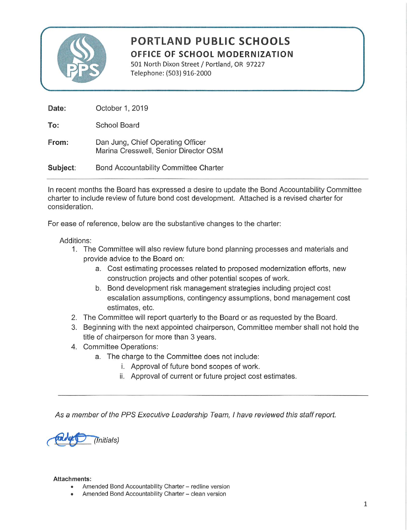

# **PORTLAND PUBLIC SCHOOLS** OFFICE OF SCHOOL MODERNIZATION

501 North Dixon Street / Portland, OR 97227 Telephone: (503) 916-2000

| Date:    | October 1, 2019                                                            |
|----------|----------------------------------------------------------------------------|
| To:      | School Board                                                               |
| From:    | Dan Jung, Chief Operating Officer<br>Marina Cresswell, Senior Director OSM |
| Subject: | Bond Accountability Committee Charter                                      |

In recent months the Board has expressed a desire to update the Bond Accountability Committee charter to include review of future bond cost development. Attached is a revised charter for consideration.

For ease of reference, below are the substantive changes to the charter:

#### Additions:

- 1. The Committee will also review future bond planning processes and materials and provide advice to the Board on:
	- a. Cost estimating processes related to proposed modernization efforts, new construction projects and other potential scopes of work.
	- b. Bond development risk management strategies including project cost escalation assumptions, contingency assumptions, bond management cost estimates, etc.
- 2. The Committee will report quarterly to the Board or as requested by the Board.
- 3. Beginning with the next appointed chairperson, Committee member shall not hold the title of chairperson for more than 3 years.
- 4. Committee Operations:
	- a. The charge to the Committee does not include:
		- i. Approval of future bond scopes of work.
		- ii. Approval of current or future project cost estimates.

As a member of the PPS Executive Leadership Team, I have reviewed this staff report.



#### **Attachments:**

- Amended Bond Accountability Charter redline version
- Amended Bond Accountability Charter clean version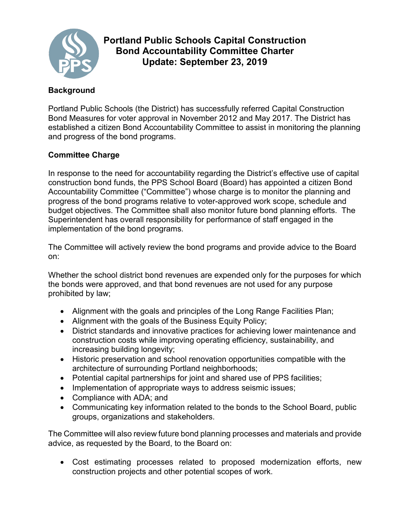

# **Portland Public Schools Capital Construction Bond Accountability Committee Charter Update: September 23, 2019**

# **Background**

Portland Public Schools (the District) has successfully referred Capital Construction Bond Measures for voter approval in November 2012 and May 2017. The District has established a citizen Bond Accountability Committee to assist in monitoring the planning and progress of the bond programs.

## **Committee Charge**

In response to the need for accountability regarding the District's effective use of capital construction bond funds, the PPS School Board (Board) has appointed a citizen Bond Accountability Committee ("Committee") whose charge is to monitor the planning and progress of the bond programs relative to voter-approved work scope, schedule and budget objectives. The Committee shall also monitor future bond planning efforts. The Superintendent has overall responsibility for performance of staff engaged in the implementation of the bond programs.

The Committee will actively review the bond programs and provide advice to the Board on:

Whether the school district bond revenues are expended only for the purposes for which the bonds were approved, and that bond revenues are not used for any purpose prohibited by law;

- Alignment with the goals and principles of the Long Range Facilities Plan;
- Alignment with the goals of the Business Equity Policy;
- District standards and innovative practices for achieving lower maintenance and construction costs while improving operating efficiency, sustainability, and increasing building longevity;
- Historic preservation and school renovation opportunities compatible with the architecture of surrounding Portland neighborhoods;
- Potential capital partnerships for joint and shared use of PPS facilities;
- Implementation of appropriate ways to address seismic issues;
- Compliance with ADA; and
- Communicating key information related to the bonds to the School Board, public groups, organizations and stakeholders.

The Committee will also review future bond planning processes and materials and provide advice, as requested by the Board, to the Board on:

• Cost estimating processes related to proposed modernization efforts, new construction projects and other potential scopes of work.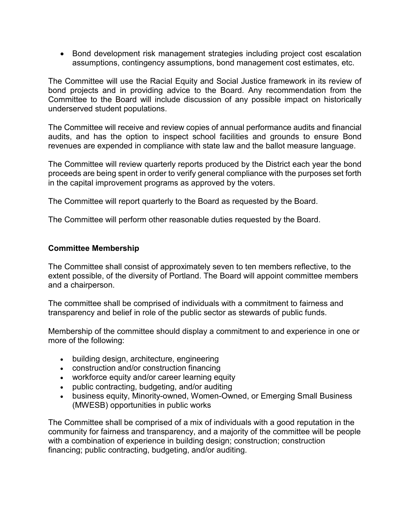• Bond development risk management strategies including project cost escalation assumptions, contingency assumptions, bond management cost estimates, etc.

The Committee will use the Racial Equity and Social Justice framework in its review of bond projects and in providing advice to the Board. Any recommendation from the Committee to the Board will include discussion of any possible impact on historically underserved student populations.

The Committee will receive and review copies of annual performance audits and financial audits, and has the option to inspect school facilities and grounds to ensure Bond revenues are expended in compliance with state law and the ballot measure language.

The Committee will review quarterly reports produced by the District each year the bond proceeds are being spent in order to verify general compliance with the purposes set forth in the capital improvement programs as approved by the voters.

The Committee will report quarterly to the Board as requested by the Board.

The Committee will perform other reasonable duties requested by the Board.

### **Committee Membership**

The Committee shall consist of approximately seven to ten members reflective, to the extent possible, of the diversity of Portland. The Board will appoint committee members and a chairperson.

The committee shall be comprised of individuals with a commitment to fairness and transparency and belief in role of the public sector as stewards of public funds.

Membership of the committee should display a commitment to and experience in one or more of the following:

- building design, architecture, engineering
- construction and/or construction financing
- workforce equity and/or career learning equity
- public contracting, budgeting, and/or auditing
- business equity, Minority-owned, Women-Owned, or Emerging Small Business (MWESB) opportunities in public works

The Committee shall be comprised of a mix of individuals with a good reputation in the community for fairness and transparency, and a majority of the committee will be people with a combination of experience in building design; construction; construction financing; public contracting, budgeting, and/or auditing.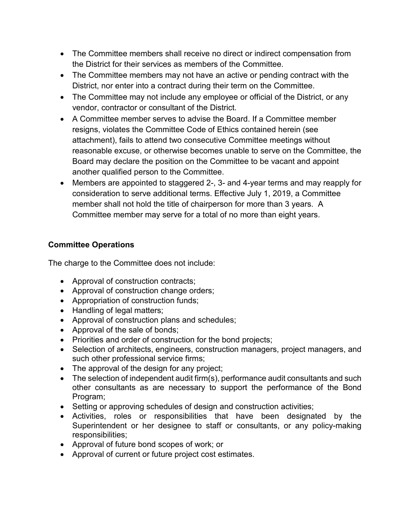- The Committee members shall receive no direct or indirect compensation from the District for their services as members of the Committee.
- The Committee members may not have an active or pending contract with the District, nor enter into a contract during their term on the Committee.
- The Committee may not include any employee or official of the District, or any vendor, contractor or consultant of the District.
- A Committee member serves to advise the Board. If a Committee member resigns, violates the Committee Code of Ethics contained herein (see attachment), fails to attend two consecutive Committee meetings without reasonable excuse, or otherwise becomes unable to serve on the Committee, the Board may declare the position on the Committee to be vacant and appoint another qualified person to the Committee.
- Members are appointed to staggered 2-, 3- and 4-year terms and may reapply for consideration to serve additional terms. Effective July 1, 2019, a Committee member shall not hold the title of chairperson for more than 3 years. A Committee member may serve for a total of no more than eight years.

# **Committee Operations**

The charge to the Committee does not include:

- Approval of construction contracts;
- Approval of construction change orders;
- Appropriation of construction funds;
- Handling of legal matters:
- Approval of construction plans and schedules;
- Approval of the sale of bonds;
- Priorities and order of construction for the bond projects;
- Selection of architects, engineers, construction managers, project managers, and such other professional service firms;
- The approval of the design for any project;
- The selection of independent audit firm(s), performance audit consultants and such other consultants as are necessary to support the performance of the Bond Program;
- Setting or approving schedules of design and construction activities;
- Activities, roles or responsibilities that have been designated by the Superintendent or her designee to staff or consultants, or any policy-making responsibilities;
- Approval of future bond scopes of work; or
- Approval of current or future project cost estimates.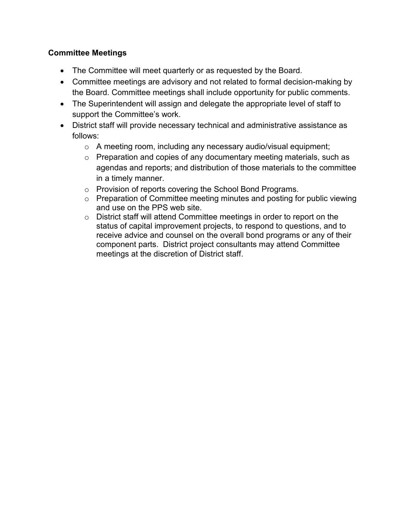## **Committee Meetings**

- The Committee will meet quarterly or as requested by the Board.
- Committee meetings are advisory and not related to formal decision-making by the Board. Committee meetings shall include opportunity for public comments.
- The Superintendent will assign and delegate the appropriate level of staff to support the Committee's work.
- District staff will provide necessary technical and administrative assistance as follows:
	- o A meeting room, including any necessary audio/visual equipment;
	- o Preparation and copies of any documentary meeting materials, such as agendas and reports; and distribution of those materials to the committee in a timely manner.
	- o Provision of reports covering the School Bond Programs.
	- o Preparation of Committee meeting minutes and posting for public viewing and use on the PPS web site.
	- o District staff will attend Committee meetings in order to report on the status of capital improvement projects, to respond to questions, and to receive advice and counsel on the overall bond programs or any of their component parts. District project consultants may attend Committee meetings at the discretion of District staff.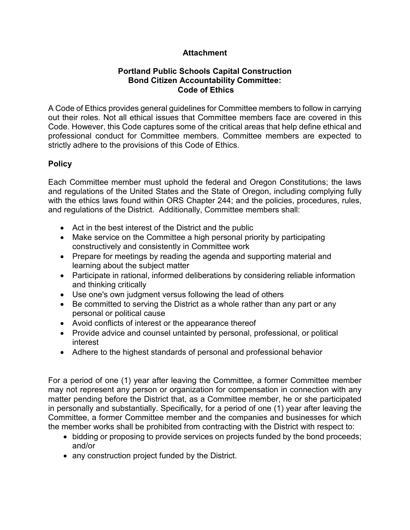## **Attachment**

### **Portland Public Schools Capital Construction Bond Citizen Accountability Committee: Code of Ethics**

A Code of Ethics provides general guidelines for Committee members to follow in carrying out their roles. Not all ethical issues that Committee members face are covered in this Code. However, this Code captures some of the critical areas that help define ethical and professional conduct for Committee members. Committee members are expected to strictly adhere to the provisions of this Code of Ethics.

## **Policy**

Each Committee member must uphold the federal and Oregon Constitutions; the laws and regulations of the United States and the State of Oregon, including complying fully with the ethics laws found within ORS Chapter 244; and the policies, procedures, rules, and regulations of the District. Additionally, Committee members shall:

- Act in the best interest of the District and the public
- Make service on the Committee a high personal priority by participating constructively and consistently in Committee work
- Prepare for meetings by reading the agenda and supporting material and learning about the subject matter
- Participate in rational, informed deliberations by considering reliable information and thinking critically
- Use one's own judgment versus following the lead of others
- Be committed to serving the District as a whole rather than any part or any personal or political cause
- Avoid conflicts of interest or the appearance thereof
- Provide advice and counsel untainted by personal, professional, or political interest
- Adhere to the highest standards of personal and professional behavior

For a period of one (1) year after leaving the Committee, a former Committee member may not represent any person or organization for compensation in connection with any matter pending before the District that, as a Committee member, he or she participated in personally and substantially. Specifically, for a period of one (1) year after leaving the Committee, a former Committee member and the companies and businesses for which the member works shall be prohibited from contracting with the District with respect to:

- bidding or proposing to provide services on projects funded by the bond proceeds; and/or
- any construction project funded by the District.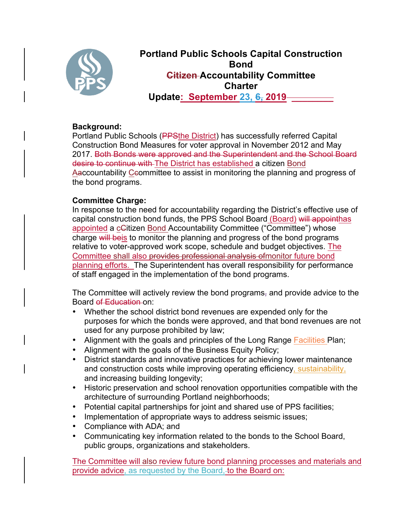

**Portland Public Schools Capital Construction Bond Citizen Accountability Committee Charter Update: September 23, 6, 2019 \_\_\_\_\_\_\_\_**

### **Background:**

Portland Public Schools (PPSthe District) has successfully referred Capital Construction Bond Measures for voter approval in November 2012 and May 2017. Both Bonds were approved and the Superintendent and the School Board desire to continue with-The District has established a citizen Bond Aaccountability Ceommittee to assist in monitoring the planning and progress of the bond programs.

## **Committee Charge:**

In response to the need for accountability regarding the District's effective use of capital construction bond funds, the PPS School Board (Board) will appointhas appointed a cCitizen Bond Accountability Committee ("Committee") whose charge will be is to monitor the planning and progress of the bond programs relative to voter-approved work scope, schedule and budget objectives. The Committee shall also provides professional analysis of monitor future bond planning efforts. The Superintendent has overall responsibility for performance of staff engaged in the implementation of the bond programs.

The Committee will actively review the bond programs, and provide advice to the Board of Education on:

- Whether the school district bond revenues are expended only for the purposes for which the bonds were approved, and that bond revenues are not used for any purpose prohibited by law;
- Alignment with the goals and principles of the Long Range Facilities Plan;
- Alignment with the goals of the Business Equity Policy;
- District standards and innovative practices for achieving lower maintenance and construction costs while improving operating efficiency, sustainability, and increasing building longevity;
- Historic preservation and school renovation opportunities compatible with the architecture of surrounding Portland neighborhoods;
- Potential capital partnerships for joint and shared use of PPS facilities;
- Implementation of appropriate ways to address seismic issues;
- Compliance with ADA; and
- Communicating key information related to the bonds to the School Board, public groups, organizations and stakeholders.

The Committee will also review future bond planning processes and materials and provide advice, as requested by the Board,-to the Board on: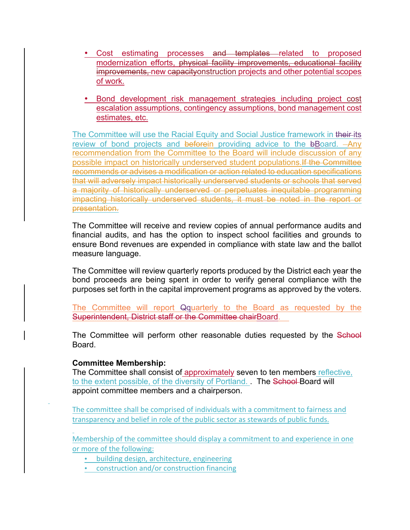- Cost estimating processes and templates related to proposed modernization efforts, physical facility improvements, educational facility improvements, new capacityonstruction projects and other potential scopes of work.
- Bond development risk management strategies including project cost escalation assumptions, contingency assumptions, bond management cost estimates, etc.

The Committee will use the Racial Equity and Social Justice framework in their-its review of bond projects and beforein providing advice to the bBoard. - Any recommendation from the Committee to the Board will include discussion of any possible impact on historically underserved student populations. If the Committee recommends or advises a modification or action related to education specifications that will adversely impact historically underserved students or schools that served a majority of historically underserved or perpetuates inequitable programming impacting historically underserved students, it must be noted in the report or presentation.

The Committee will receive and review copies of annual performance audits and financial audits, and has the option to inspect school facilities and grounds to ensure Bond revenues are expended in compliance with state law and the ballot measure language.

The Committee will review quarterly reports produced by the District each year the bond proceeds are being spent in order to verify general compliance with the purposes set forth in the capital improvement programs as approved by the voters.

The Committee will report Qquarterly to the Board as requested by the Superintendent, District staff or the Committee chairBoard.

The Committee will perform other reasonable duties requested by the School Board.

### **Committee Membership:**

The Committee shall consist of approximately seven to ten members reflective, to the extent possible, of the diversity of Portland. . The School-Board will appoint committee members and a chairperson.

The committee shall be comprised of individuals with a commitment to fairness and transparency and belief in role of the public sector as stewards of public funds.

Membership of the committee should display a commitment to and experience in one or more of the following:

• building design, architecture, engineering

• construction and/or construction financing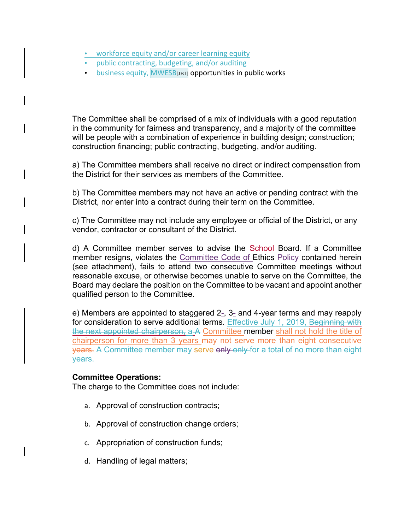- workforce equity and/or career learning equity
- public contracting, budgeting, and/or auditing
- business equity,  $MWESB[<sub>JBI</sub>]$  opportunities in public works

The Committee shall be comprised of a mix of individuals with a good reputation in the community for fairness and transparency, and a majority of the committee will be people with a combination of experience in building design; construction; construction financing; public contracting, budgeting, and/or auditing.

a) The Committee members shall receive no direct or indirect compensation from the District for their services as members of the Committee.

b) The Committee members may not have an active or pending contract with the District, nor enter into a contract during their term on the Committee.

c) The Committee may not include any employee or official of the District, or any vendor, contractor or consultant of the District.

d) A Committee member serves to advise the School Board. If a Committee member resigns, violates the Committee Code of Ethics Policy contained herein (see attachment), fails to attend two consecutive Committee meetings without reasonable excuse, or otherwise becomes unable to serve on the Committee, the Board may declare the position on the Committee to be vacant and appoint another qualified person to the Committee.

e) Members are appointed to staggered 2-, 3- and 4-year terms and may reapply for consideration to serve additional terms. Effective July 1, 2019, Beginning with the next appointed chairperson, a A Committee member shall not hold the title of chairperson for more than 3 years may not serve more than eight consecutive years. A Committee member may serve only only for a total of no more than eight years.

#### **Committee Operations:**

The charge to the Committee does not include:

- a. Approval of construction contracts;
- b. Approval of construction change orders;
- c. Appropriation of construction funds;
- d. Handling of legal matters;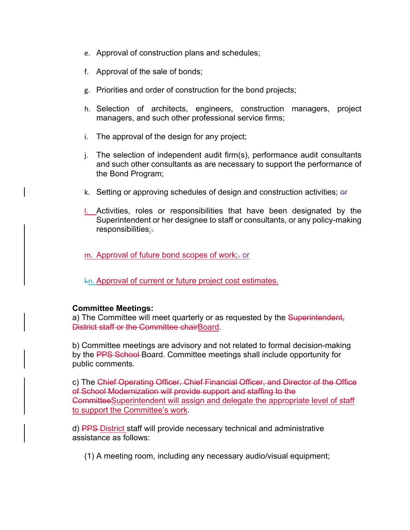- e. Approval of construction plans and schedules;
- f. Approval of the sale of bonds;
- g. Priorities and order of construction for the bond projects;
- h. Selection of architects, engineers, construction managers, project managers, and such other professional service firms;
- i. The approval of the design for any project;
- j. The selection of independent audit firm(s), performance audit consultants and such other consultants as are necessary to support the performance of the Bond Program;
- k. Setting or approving schedules of design and construction activities; or
- l. Activities, roles or responsibilities that have been designated by the Superintendent or her designee to staff or consultants, or any policy-making responsibilities;.
- m. Approval of future bond scopes of work;- or
- l.n. Approval of current or future project cost estimates.

#### **Committee Meetings:**

a) The Committee will meet quarterly or as requested by the Superintendent, District staff or the Committee chairBoard.

b) Committee meetings are advisory and not related to formal decision-making by the PPS School-Board. Committee meetings shall include opportunity for public comments.

c) The Chief Operating Officer, Chief Financial Officer, and Director of the Office of School Modernization will provide support and staffing to the CommitteeSuperintendent will assign and delegate the appropriate level of staff to support the Committee's work.

d) PPS District staff will provide necessary technical and administrative assistance as follows:

(1) A meeting room, including any necessary audio/visual equipment;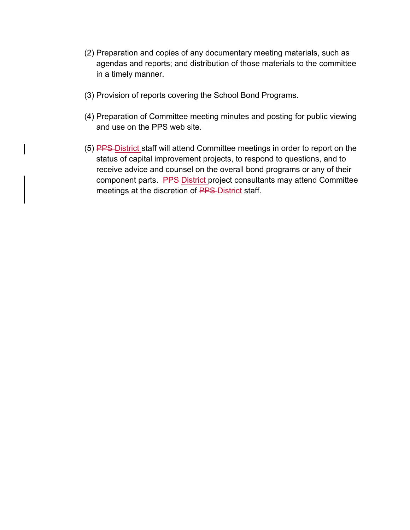- (2) Preparation and copies of any documentary meeting materials, such as agendas and reports; and distribution of those materials to the committee in a timely manner.
- (3) Provision of reports covering the School Bond Programs.
- (4) Preparation of Committee meeting minutes and posting for public viewing and use on the PPS web site.
- (5) PPS District staff will attend Committee meetings in order to report on the status of capital improvement projects, to respond to questions, and to receive advice and counsel on the overall bond programs or any of their component parts. PPS District project consultants may attend Committee meetings at the discretion of PPS-District staff.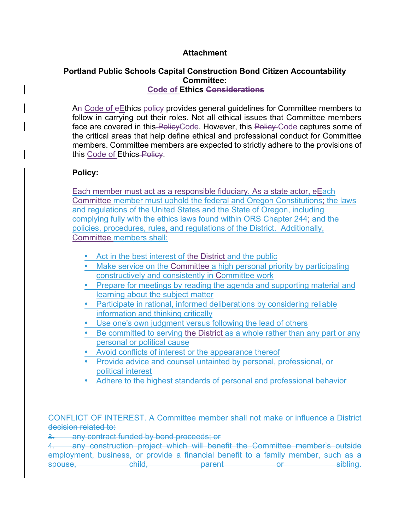#### **Attachment**

#### **Portland Public Schools Capital Construction Bond Citizen Accountability Committee: Code of Ethics Considerations**

An Code of eEthics policy provides general guidelines for Committee members to follow in carrying out their roles. Not all ethical issues that Committee members face are covered in this PolicyCode. However, this Policy Code captures some of the critical areas that help define ethical and professional conduct for Committee members. Committee members are expected to strictly adhere to the provisions of this Code of Ethics-Policy.

### **Policy:**

Each member must act as a responsible fiduciary. As a state actor, eEach Committee member must uphold the federal and Oregon Constitutions; the laws and regulations of the United States and the State of Oregon, including complying fully with the ethics laws found within ORS Chapter 244; and the policies, procedures, rules, and regulations of the District. Additionally, Committee members shall:

- Act in the best interest of the District and the public
- Make service on the Committee a high personal priority by participating constructively and consistently in Committee work
- Prepare for meetings by reading the agenda and supporting material and learning about the subject matter
- Participate in rational, informed deliberations by considering reliable information and thinking critically
- Use one's own judgment versus following the lead of others
- Be committed to serving the District as a whole rather than any part or any personal or political cause
- Avoid conflicts of interest or the appearance thereof
- Provide advice and counsel untainted by personal, professional, or political interest
- Adhere to the highest standards of personal and professional behavior

CONFLICT OF INTEREST. A Committee member shall not make or influence a District decision related to:

3. any contract funded by bond proceeds; or

4. any construction project which will benefit the Committee member's outside employment, business, or provide a financial benefit to a family member, such as a spouse, child, parent or sibling.